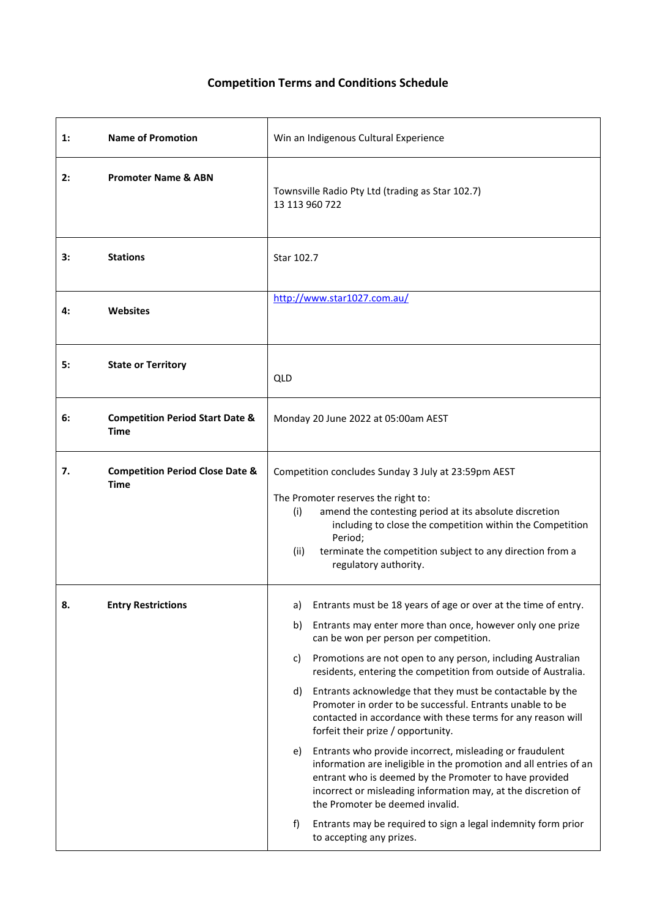## **Competition Terms and Conditions Schedule**

| 1: | <b>Name of Promotion</b>                                  | Win an Indigenous Cultural Experience                                                                                                                                                                                                                                                                                                                                                                                                                                                                                                                                                                                                                                                                                                                                                                                                                                                                                                                                  |
|----|-----------------------------------------------------------|------------------------------------------------------------------------------------------------------------------------------------------------------------------------------------------------------------------------------------------------------------------------------------------------------------------------------------------------------------------------------------------------------------------------------------------------------------------------------------------------------------------------------------------------------------------------------------------------------------------------------------------------------------------------------------------------------------------------------------------------------------------------------------------------------------------------------------------------------------------------------------------------------------------------------------------------------------------------|
| 2: | <b>Promoter Name &amp; ABN</b>                            | Townsville Radio Pty Ltd (trading as Star 102.7)<br>13 113 960 722                                                                                                                                                                                                                                                                                                                                                                                                                                                                                                                                                                                                                                                                                                                                                                                                                                                                                                     |
| з: | <b>Stations</b>                                           | Star 102.7                                                                                                                                                                                                                                                                                                                                                                                                                                                                                                                                                                                                                                                                                                                                                                                                                                                                                                                                                             |
| 4: | <b>Websites</b>                                           | http://www.star1027.com.au/                                                                                                                                                                                                                                                                                                                                                                                                                                                                                                                                                                                                                                                                                                                                                                                                                                                                                                                                            |
| 5: | <b>State or Territory</b>                                 | QLD                                                                                                                                                                                                                                                                                                                                                                                                                                                                                                                                                                                                                                                                                                                                                                                                                                                                                                                                                                    |
| 6: | <b>Competition Period Start Date &amp;</b><br><b>Time</b> | Monday 20 June 2022 at 05:00am AEST                                                                                                                                                                                                                                                                                                                                                                                                                                                                                                                                                                                                                                                                                                                                                                                                                                                                                                                                    |
| 7. | <b>Competition Period Close Date &amp;</b><br><b>Time</b> | Competition concludes Sunday 3 July at 23:59pm AEST<br>The Promoter reserves the right to:<br>amend the contesting period at its absolute discretion<br>(i)<br>including to close the competition within the Competition<br>Period;<br>(ii)<br>terminate the competition subject to any direction from a<br>regulatory authority.                                                                                                                                                                                                                                                                                                                                                                                                                                                                                                                                                                                                                                      |
| 8. | <b>Entry Restrictions</b>                                 | Entrants must be 18 years of age or over at the time of entry.<br>a)<br>Entrants may enter more than once, however only one prize<br>b)<br>can be won per person per competition.<br>Promotions are not open to any person, including Australian<br>c)<br>residents, entering the competition from outside of Australia.<br>d)<br>Entrants acknowledge that they must be contactable by the<br>Promoter in order to be successful. Entrants unable to be<br>contacted in accordance with these terms for any reason will<br>forfeit their prize / opportunity.<br>Entrants who provide incorrect, misleading or fraudulent<br>e)<br>information are ineligible in the promotion and all entries of an<br>entrant who is deemed by the Promoter to have provided<br>incorrect or misleading information may, at the discretion of<br>the Promoter be deemed invalid.<br>Entrants may be required to sign a legal indemnity form prior<br>f)<br>to accepting any prizes. |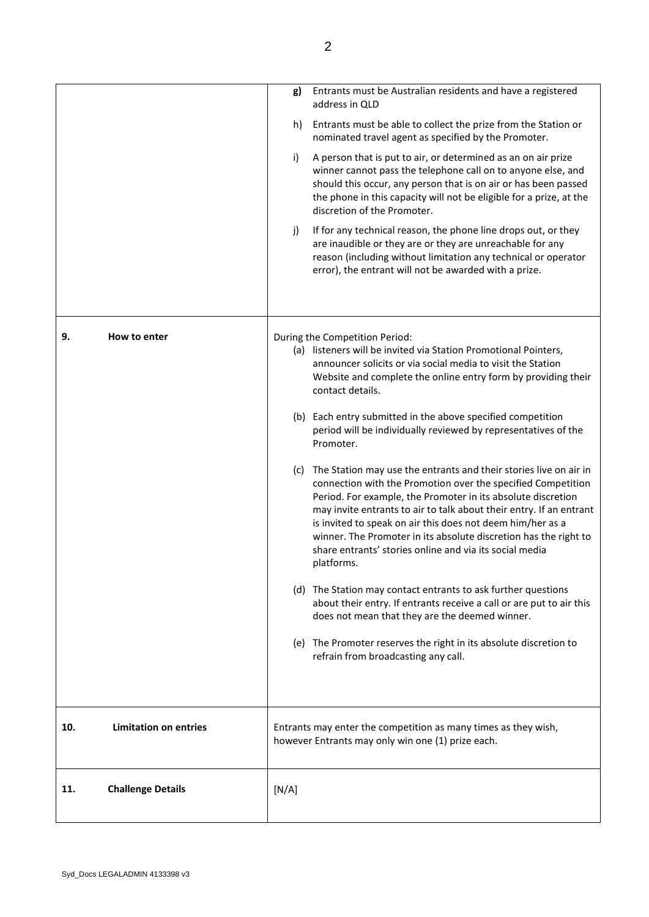|     |                              | g)    | Entrants must be Australian residents and have a registered<br>address in QLD                                                                                                                                                                                                                                                                                                                                                                                                           |
|-----|------------------------------|-------|-----------------------------------------------------------------------------------------------------------------------------------------------------------------------------------------------------------------------------------------------------------------------------------------------------------------------------------------------------------------------------------------------------------------------------------------------------------------------------------------|
|     |                              | h)    | Entrants must be able to collect the prize from the Station or<br>nominated travel agent as specified by the Promoter.                                                                                                                                                                                                                                                                                                                                                                  |
|     |                              | i)    | A person that is put to air, or determined as an on air prize<br>winner cannot pass the telephone call on to anyone else, and<br>should this occur, any person that is on air or has been passed<br>the phone in this capacity will not be eligible for a prize, at the<br>discretion of the Promoter.                                                                                                                                                                                  |
|     |                              | j)    | If for any technical reason, the phone line drops out, or they<br>are inaudible or they are or they are unreachable for any<br>reason (including without limitation any technical or operator<br>error), the entrant will not be awarded with a prize.                                                                                                                                                                                                                                  |
| 9.  | How to enter                 |       | During the Competition Period:<br>(a) listeners will be invited via Station Promotional Pointers,<br>announcer solicits or via social media to visit the Station<br>Website and complete the online entry form by providing their<br>contact details.                                                                                                                                                                                                                                   |
|     |                              |       | (b) Each entry submitted in the above specified competition<br>period will be individually reviewed by representatives of the<br>Promoter.                                                                                                                                                                                                                                                                                                                                              |
|     |                              |       | (c) The Station may use the entrants and their stories live on air in<br>connection with the Promotion over the specified Competition<br>Period. For example, the Promoter in its absolute discretion<br>may invite entrants to air to talk about their entry. If an entrant<br>is invited to speak on air this does not deem him/her as a<br>winner. The Promoter in its absolute discretion has the right to<br>share entrants' stories online and via its social media<br>platforms. |
|     |                              |       | (d) The Station may contact entrants to ask further questions<br>about their entry. If entrants receive a call or are put to air this<br>does not mean that they are the deemed winner.                                                                                                                                                                                                                                                                                                 |
|     |                              |       | (e) The Promoter reserves the right in its absolute discretion to<br>refrain from broadcasting any call.                                                                                                                                                                                                                                                                                                                                                                                |
| 10. | <b>Limitation on entries</b> |       | Entrants may enter the competition as many times as they wish,<br>however Entrants may only win one (1) prize each.                                                                                                                                                                                                                                                                                                                                                                     |
| 11. | <b>Challenge Details</b>     | [N/A] |                                                                                                                                                                                                                                                                                                                                                                                                                                                                                         |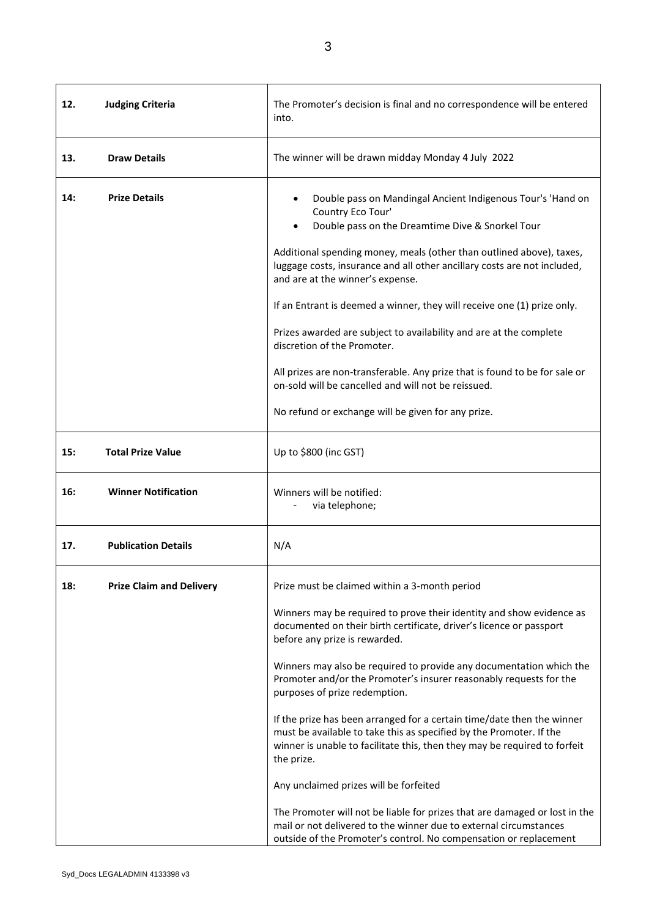**12. Judging Criteria The Promoter's decision is final and no correspondence will be entered** into. **13. Draw Details** The winner will be drawn midday Monday 4 July 2022 **14:** Prize Details **14:** Prize Details **14:** Prize Details **14:** Analogue of Mandingal Ancient Indigenous Tour's 'Hand on Country Eco Tour' • Double pass on the Dreamtime Dive & Snorkel Tour Additional spending money, meals (other than outlined above), taxes, luggage costs, insurance and all other ancillary costs are not included, and are at the winner's expense. If an Entrant is deemed a winner, they will receive one (1) prize only. Prizes awarded are subject to availability and are at the complete discretion of the Promoter. All prizes are non-transferable. Any prize that is found to be for sale or on-sold will be cancelled and will not be reissued. No refund or exchange will be given for any prize. **15: Total Prize Value** Up to \$800 (inc GST) 16: Winner Notification **Winner Winners will be notified:** via telephone; **17. Publication Details** N/A **18:** Prize Claim and Delivery **Prize must be claimed within a 3-month period** Winners may be required to prove their identity and show evidence as documented on their birth certificate, driver's licence or passport before any prize is rewarded. Winners may also be required to provide any documentation which the Promoter and/or the Promoter's insurer reasonably requests for the purposes of prize redemption. If the prize has been arranged for a certain time/date then the winner must be available to take this as specified by the Promoter. If the winner is unable to facilitate this, then they may be required to forfeit the prize. Any unclaimed prizes will be forfeited The Promoter will not be liable for prizes that are damaged or lost in the mail or not delivered to the winner due to external circumstances outside of the Promoter's control. No compensation or replacement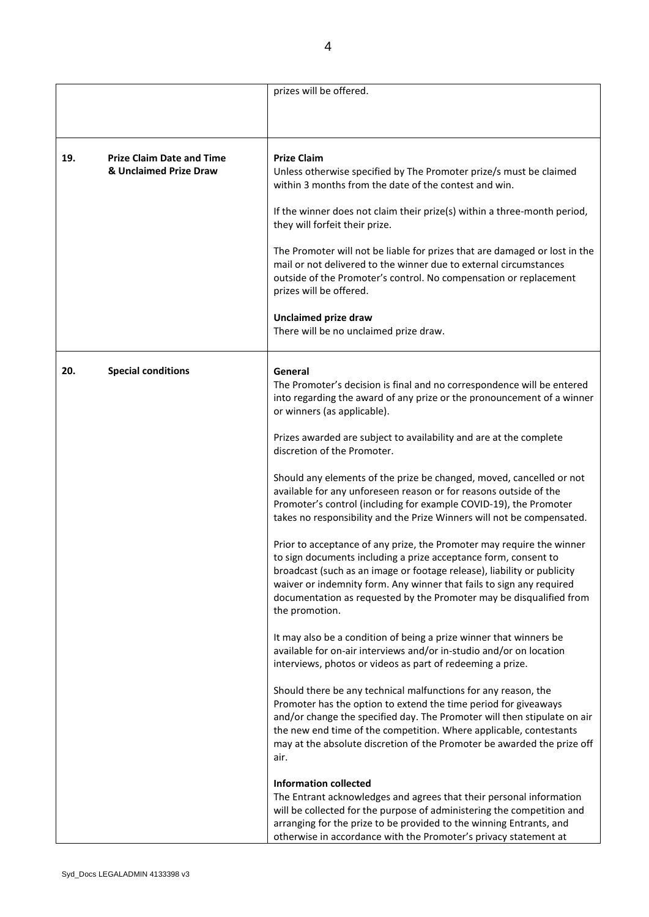|     |                                                            | prizes will be offered.                                                                                                                                                                                                                                                                                                                                                              |
|-----|------------------------------------------------------------|--------------------------------------------------------------------------------------------------------------------------------------------------------------------------------------------------------------------------------------------------------------------------------------------------------------------------------------------------------------------------------------|
|     |                                                            |                                                                                                                                                                                                                                                                                                                                                                                      |
|     |                                                            |                                                                                                                                                                                                                                                                                                                                                                                      |
| 19. | <b>Prize Claim Date and Time</b><br>& Unclaimed Prize Draw | <b>Prize Claim</b><br>Unless otherwise specified by The Promoter prize/s must be claimed<br>within 3 months from the date of the contest and win.<br>If the winner does not claim their prize(s) within a three-month period,                                                                                                                                                        |
|     |                                                            | they will forfeit their prize.                                                                                                                                                                                                                                                                                                                                                       |
|     |                                                            | The Promoter will not be liable for prizes that are damaged or lost in the<br>mail or not delivered to the winner due to external circumstances<br>outside of the Promoter's control. No compensation or replacement<br>prizes will be offered.                                                                                                                                      |
|     |                                                            | <b>Unclaimed prize draw</b>                                                                                                                                                                                                                                                                                                                                                          |
|     |                                                            | There will be no unclaimed prize draw.                                                                                                                                                                                                                                                                                                                                               |
| 20. | <b>Special conditions</b>                                  | General<br>The Promoter's decision is final and no correspondence will be entered<br>into regarding the award of any prize or the pronouncement of a winner<br>or winners (as applicable).                                                                                                                                                                                           |
|     |                                                            | Prizes awarded are subject to availability and are at the complete<br>discretion of the Promoter.                                                                                                                                                                                                                                                                                    |
|     |                                                            | Should any elements of the prize be changed, moved, cancelled or not<br>available for any unforeseen reason or for reasons outside of the<br>Promoter's control (including for example COVID-19), the Promoter<br>takes no responsibility and the Prize Winners will not be compensated.                                                                                             |
|     |                                                            | Prior to acceptance of any prize, the Promoter may require the winner<br>to sign documents including a prize acceptance form, consent to<br>broadcast (such as an image or footage release), liability or publicity<br>waiver or indemnity form. Any winner that fails to sign any required<br>documentation as requested by the Promoter may be disqualified from<br>the promotion. |
|     |                                                            | It may also be a condition of being a prize winner that winners be<br>available for on-air interviews and/or in-studio and/or on location<br>interviews, photos or videos as part of redeeming a prize.                                                                                                                                                                              |
|     |                                                            | Should there be any technical malfunctions for any reason, the<br>Promoter has the option to extend the time period for giveaways<br>and/or change the specified day. The Promoter will then stipulate on air<br>the new end time of the competition. Where applicable, contestants<br>may at the absolute discretion of the Promoter be awarded the prize off<br>air.               |
|     |                                                            | <b>Information collected</b><br>The Entrant acknowledges and agrees that their personal information<br>will be collected for the purpose of administering the competition and<br>arranging for the prize to be provided to the winning Entrants, and<br>otherwise in accordance with the Promoter's privacy statement at                                                             |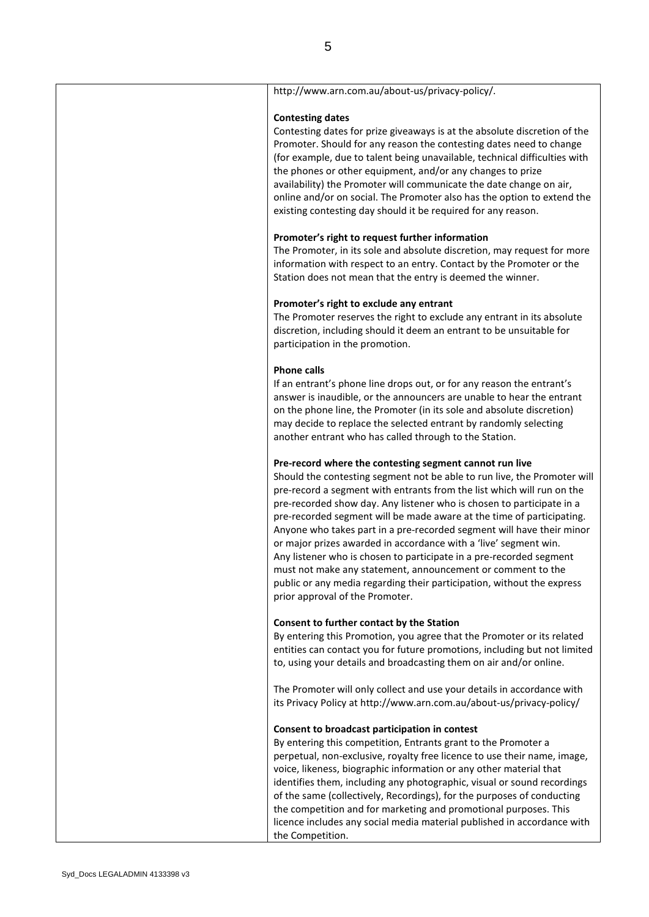| http://www.arn.com.au/about-us/privacy-policy/.                                                                                                                                                                                                                                                                                                                                                                                                                                                                                                                                                                                                                                                                                                                 |
|-----------------------------------------------------------------------------------------------------------------------------------------------------------------------------------------------------------------------------------------------------------------------------------------------------------------------------------------------------------------------------------------------------------------------------------------------------------------------------------------------------------------------------------------------------------------------------------------------------------------------------------------------------------------------------------------------------------------------------------------------------------------|
| <b>Contesting dates</b><br>Contesting dates for prize giveaways is at the absolute discretion of the<br>Promoter. Should for any reason the contesting dates need to change<br>(for example, due to talent being unavailable, technical difficulties with<br>the phones or other equipment, and/or any changes to prize<br>availability) the Promoter will communicate the date change on air,<br>online and/or on social. The Promoter also has the option to extend the<br>existing contesting day should it be required for any reason.                                                                                                                                                                                                                      |
|                                                                                                                                                                                                                                                                                                                                                                                                                                                                                                                                                                                                                                                                                                                                                                 |
| Promoter's right to request further information<br>The Promoter, in its sole and absolute discretion, may request for more<br>information with respect to an entry. Contact by the Promoter or the<br>Station does not mean that the entry is deemed the winner.                                                                                                                                                                                                                                                                                                                                                                                                                                                                                                |
| Promoter's right to exclude any entrant<br>The Promoter reserves the right to exclude any entrant in its absolute<br>discretion, including should it deem an entrant to be unsuitable for<br>participation in the promotion.                                                                                                                                                                                                                                                                                                                                                                                                                                                                                                                                    |
| <b>Phone calls</b><br>If an entrant's phone line drops out, or for any reason the entrant's<br>answer is inaudible, or the announcers are unable to hear the entrant<br>on the phone line, the Promoter (in its sole and absolute discretion)<br>may decide to replace the selected entrant by randomly selecting<br>another entrant who has called through to the Station.                                                                                                                                                                                                                                                                                                                                                                                     |
| Pre-record where the contesting segment cannot run live<br>Should the contesting segment not be able to run live, the Promoter will<br>pre-record a segment with entrants from the list which will run on the<br>pre-recorded show day. Any listener who is chosen to participate in a<br>pre-recorded segment will be made aware at the time of participating.<br>Anyone who takes part in a pre-recorded segment will have their minor<br>or major prizes awarded in accordance with a 'live' segment win.<br>Any listener who is chosen to participate in a pre-recorded segment<br>must not make any statement, announcement or comment to the<br>public or any media regarding their participation, without the express<br>prior approval of the Promoter. |
| Consent to further contact by the Station<br>By entering this Promotion, you agree that the Promoter or its related<br>entities can contact you for future promotions, including but not limited<br>to, using your details and broadcasting them on air and/or online.                                                                                                                                                                                                                                                                                                                                                                                                                                                                                          |
| The Promoter will only collect and use your details in accordance with<br>its Privacy Policy at http://www.arn.com.au/about-us/privacy-policy/                                                                                                                                                                                                                                                                                                                                                                                                                                                                                                                                                                                                                  |
| Consent to broadcast participation in contest<br>By entering this competition, Entrants grant to the Promoter a<br>perpetual, non-exclusive, royalty free licence to use their name, image,<br>voice, likeness, biographic information or any other material that<br>identifies them, including any photographic, visual or sound recordings<br>of the same (collectively, Recordings), for the purposes of conducting<br>the competition and for marketing and promotional purposes. This<br>licence includes any social media material published in accordance with<br>the Competition.                                                                                                                                                                       |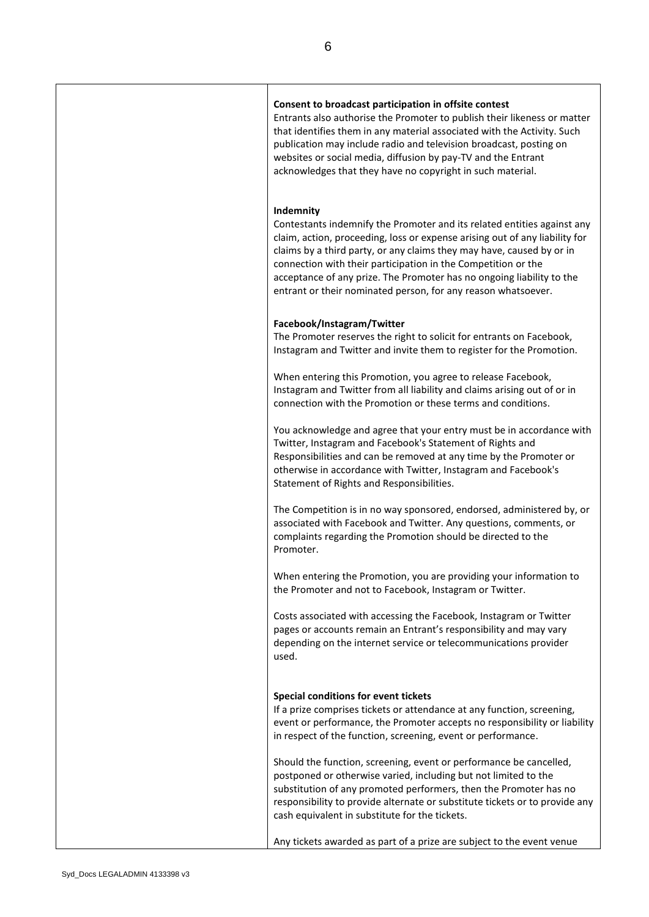| Consent to broadcast participation in offsite contest<br>Entrants also authorise the Promoter to publish their likeness or matter<br>that identifies them in any material associated with the Activity. Such<br>publication may include radio and television broadcast, posting on<br>websites or social media, diffusion by pay-TV and the Entrant<br>acknowledges that they have no copyright in such material.                                       |
|---------------------------------------------------------------------------------------------------------------------------------------------------------------------------------------------------------------------------------------------------------------------------------------------------------------------------------------------------------------------------------------------------------------------------------------------------------|
| Indemnity<br>Contestants indemnify the Promoter and its related entities against any<br>claim, action, proceeding, loss or expense arising out of any liability for<br>claims by a third party, or any claims they may have, caused by or in<br>connection with their participation in the Competition or the<br>acceptance of any prize. The Promoter has no ongoing liability to the<br>entrant or their nominated person, for any reason whatsoever. |
| Facebook/Instagram/Twitter<br>The Promoter reserves the right to solicit for entrants on Facebook,<br>Instagram and Twitter and invite them to register for the Promotion.                                                                                                                                                                                                                                                                              |
| When entering this Promotion, you agree to release Facebook,<br>Instagram and Twitter from all liability and claims arising out of or in<br>connection with the Promotion or these terms and conditions.                                                                                                                                                                                                                                                |
| You acknowledge and agree that your entry must be in accordance with<br>Twitter, Instagram and Facebook's Statement of Rights and<br>Responsibilities and can be removed at any time by the Promoter or<br>otherwise in accordance with Twitter, Instagram and Facebook's<br>Statement of Rights and Responsibilities.                                                                                                                                  |
| The Competition is in no way sponsored, endorsed, administered by, or<br>associated with Facebook and Twitter. Any questions, comments, or<br>complaints regarding the Promotion should be directed to the<br>Promoter.                                                                                                                                                                                                                                 |
| When entering the Promotion, you are providing your information to<br>the Promoter and not to Facebook, Instagram or Twitter.                                                                                                                                                                                                                                                                                                                           |
| Costs associated with accessing the Facebook, Instagram or Twitter<br>pages or accounts remain an Entrant's responsibility and may vary<br>depending on the internet service or telecommunications provider<br>used.                                                                                                                                                                                                                                    |
| Special conditions for event tickets<br>If a prize comprises tickets or attendance at any function, screening,<br>event or performance, the Promoter accepts no responsibility or liability<br>in respect of the function, screening, event or performance.                                                                                                                                                                                             |
| Should the function, screening, event or performance be cancelled,<br>postponed or otherwise varied, including but not limited to the<br>substitution of any promoted performers, then the Promoter has no<br>responsibility to provide alternate or substitute tickets or to provide any<br>cash equivalent in substitute for the tickets.                                                                                                             |
| Any tickets awarded as part of a prize are subject to the event venue                                                                                                                                                                                                                                                                                                                                                                                   |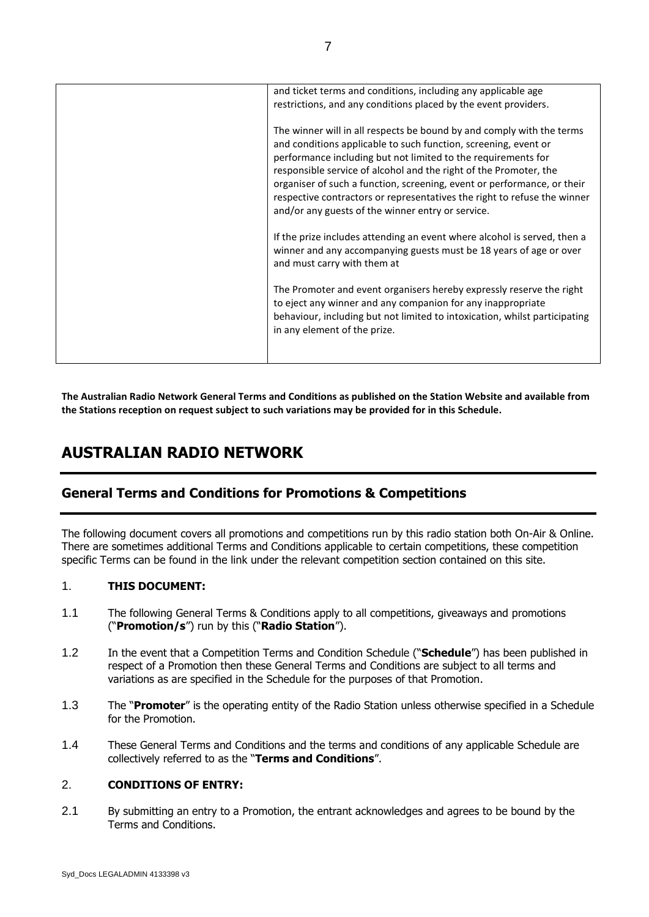| and ticket terms and conditions, including any applicable age<br>restrictions, and any conditions placed by the event providers.                                                                                                                                                                                                                                                                                                                                                           |
|--------------------------------------------------------------------------------------------------------------------------------------------------------------------------------------------------------------------------------------------------------------------------------------------------------------------------------------------------------------------------------------------------------------------------------------------------------------------------------------------|
| The winner will in all respects be bound by and comply with the terms<br>and conditions applicable to such function, screening, event or<br>performance including but not limited to the requirements for<br>responsible service of alcohol and the right of the Promoter, the<br>organiser of such a function, screening, event or performance, or their<br>respective contractors or representatives the right to refuse the winner<br>and/or any guests of the winner entry or service. |
| If the prize includes attending an event where alcohol is served, then a<br>winner and any accompanying guests must be 18 years of age or over<br>and must carry with them at                                                                                                                                                                                                                                                                                                              |
| The Promoter and event organisers hereby expressly reserve the right<br>to eject any winner and any companion for any inappropriate<br>behaviour, including but not limited to intoxication, whilst participating<br>in any element of the prize.                                                                                                                                                                                                                                          |
|                                                                                                                                                                                                                                                                                                                                                                                                                                                                                            |

**The Australian Radio Network General Terms and Conditions as published on the Station Website and available from the Stations reception on request subject to such variations may be provided for in this Schedule.**

# **AUSTRALIAN RADIO NETWORK**

## **General Terms and Conditions for Promotions & Competitions**

The following document covers all promotions and competitions run by this radio station both On-Air & Online. There are sometimes additional Terms and Conditions applicable to certain competitions, these competition specific Terms can be found in the link under the relevant competition section contained on this site.

## 1. **THIS DOCUMENT:**

- 1.1 The following General Terms & Conditions apply to all competitions, giveaways and promotions ("**Promotion/s**") run by this ("**Radio Station**").
- 1.2 In the event that a Competition Terms and Condition Schedule ("**Schedule**") has been published in respect of a Promotion then these General Terms and Conditions are subject to all terms and variations as are specified in the Schedule for the purposes of that Promotion.
- 1.3 The "**Promoter**" is the operating entity of the Radio Station unless otherwise specified in a Schedule for the Promotion.
- 1.4 These General Terms and Conditions and the terms and conditions of any applicable Schedule are collectively referred to as the "**Terms and Conditions**".

#### 2. **CONDITIONS OF ENTRY:**

2.1 By submitting an entry to a Promotion, the entrant acknowledges and agrees to be bound by the Terms and Conditions.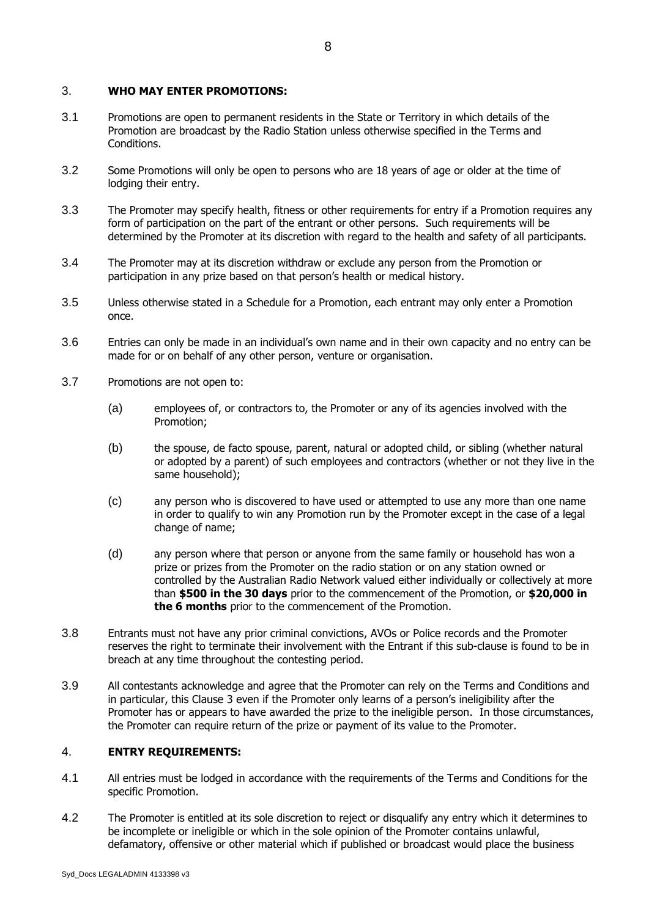#### 3. **WHO MAY ENTER PROMOTIONS:**

- 3.1 Promotions are open to permanent residents in the State or Territory in which details of the Promotion are broadcast by the Radio Station unless otherwise specified in the Terms and Conditions.
- 3.2 Some Promotions will only be open to persons who are 18 years of age or older at the time of lodging their entry.
- 3.3 The Promoter may specify health, fitness or other requirements for entry if a Promotion requires any form of participation on the part of the entrant or other persons. Such requirements will be determined by the Promoter at its discretion with regard to the health and safety of all participants.
- 3.4 The Promoter may at its discretion withdraw or exclude any person from the Promotion or participation in any prize based on that person's health or medical history.
- 3.5 Unless otherwise stated in a Schedule for a Promotion, each entrant may only enter a Promotion once.
- 3.6 Entries can only be made in an individual's own name and in their own capacity and no entry can be made for or on behalf of any other person, venture or organisation.
- 3.7 Promotions are not open to:
	- (a) employees of, or contractors to, the Promoter or any of its agencies involved with the Promotion;
	- (b) the spouse, de facto spouse, parent, natural or adopted child, or sibling (whether natural or adopted by a parent) of such employees and contractors (whether or not they live in the same household);
	- (c) any person who is discovered to have used or attempted to use any more than one name in order to qualify to win any Promotion run by the Promoter except in the case of a legal change of name;
	- (d) any person where that person or anyone from the same family or household has won a prize or prizes from the Promoter on the radio station or on any station owned or controlled by the Australian Radio Network valued either individually or collectively at more than **\$500 in the 30 days** prior to the commencement of the Promotion, or **\$20,000 in the 6 months** prior to the commencement of the Promotion.
- 3.8 Entrants must not have any prior criminal convictions, AVOs or Police records and the Promoter reserves the right to terminate their involvement with the Entrant if this sub-clause is found to be in breach at any time throughout the contesting period.
- 3.9 All contestants acknowledge and agree that the Promoter can rely on the Terms and Conditions and in particular, this Clause 3 even if the Promoter only learns of a person's ineligibility after the Promoter has or appears to have awarded the prize to the ineligible person. In those circumstances, the Promoter can require return of the prize or payment of its value to the Promoter.

#### 4. **ENTRY REQUIREMENTS:**

- 4.1 All entries must be lodged in accordance with the requirements of the Terms and Conditions for the specific Promotion.
- 4.2 The Promoter is entitled at its sole discretion to reject or disqualify any entry which it determines to be incomplete or ineligible or which in the sole opinion of the Promoter contains unlawful, defamatory, offensive or other material which if published or broadcast would place the business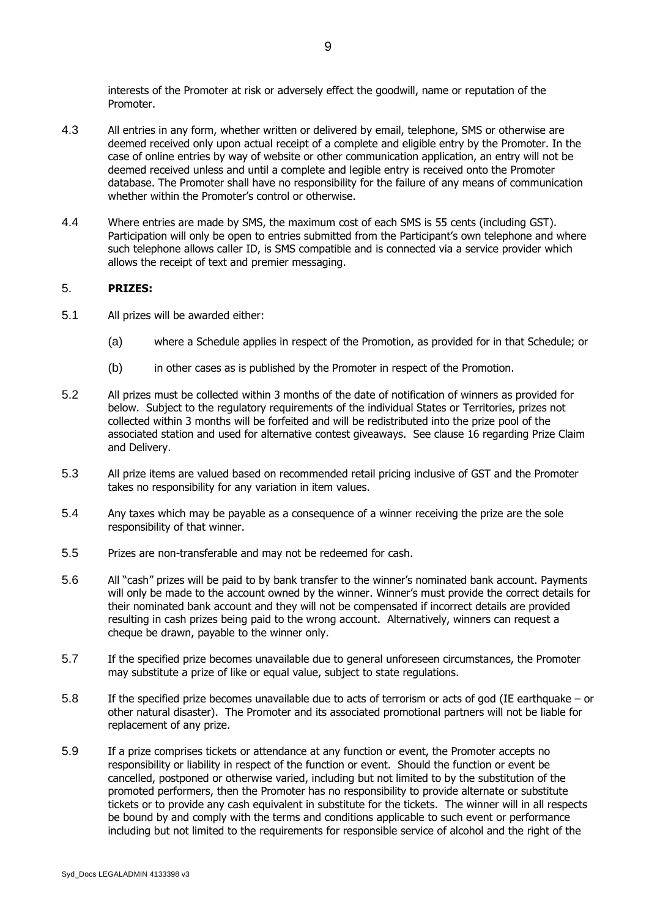interests of the Promoter at risk or adversely effect the goodwill, name or reputation of the Promoter.

- 4.3 All entries in any form, whether written or delivered by email, telephone, SMS or otherwise are deemed received only upon actual receipt of a complete and eligible entry by the Promoter. In the case of online entries by way of website or other communication application, an entry will not be deemed received unless and until a complete and legible entry is received onto the Promoter database. The Promoter shall have no responsibility for the failure of any means of communication whether within the Promoter's control or otherwise.
- 4.4 Where entries are made by SMS, the maximum cost of each SMS is 55 cents (including GST). Participation will only be open to entries submitted from the Participant's own telephone and where such telephone allows caller ID, is SMS compatible and is connected via a service provider which allows the receipt of text and premier messaging.

#### 5. **PRIZES:**

- 5.1 All prizes will be awarded either:
	- (a) where a Schedule applies in respect of the Promotion, as provided for in that Schedule; or
	- (b) in other cases as is published by the Promoter in respect of the Promotion.
- 5.2 All prizes must be collected within 3 months of the date of notification of winners as provided for below. Subject to the regulatory requirements of the individual States or Territories, prizes not collected within 3 months will be forfeited and will be redistributed into the prize pool of the associated station and used for alternative contest giveaways. See clause 16 regarding Prize Claim and Delivery.
- 5.3 All prize items are valued based on recommended retail pricing inclusive of GST and the Promoter takes no responsibility for any variation in item values.
- 5.4 Any taxes which may be payable as a consequence of a winner receiving the prize are the sole responsibility of that winner.
- 5.5 Prizes are non-transferable and may not be redeemed for cash.
- 5.6 All "cash" prizes will be paid to by bank transfer to the winner's nominated bank account. Payments will only be made to the account owned by the winner. Winner's must provide the correct details for their nominated bank account and they will not be compensated if incorrect details are provided resulting in cash prizes being paid to the wrong account. Alternatively, winners can request a cheque be drawn, payable to the winner only.
- 5.7 If the specified prize becomes unavailable due to general unforeseen circumstances, the Promoter may substitute a prize of like or equal value, subject to state regulations.
- 5.8 If the specified prize becomes unavailable due to acts of terrorism or acts of god (IE earthquake or other natural disaster). The Promoter and its associated promotional partners will not be liable for replacement of any prize.
- 5.9 If a prize comprises tickets or attendance at any function or event, the Promoter accepts no responsibility or liability in respect of the function or event. Should the function or event be cancelled, postponed or otherwise varied, including but not limited to by the substitution of the promoted performers, then the Promoter has no responsibility to provide alternate or substitute tickets or to provide any cash equivalent in substitute for the tickets. The winner will in all respects be bound by and comply with the terms and conditions applicable to such event or performance including but not limited to the requirements for responsible service of alcohol and the right of the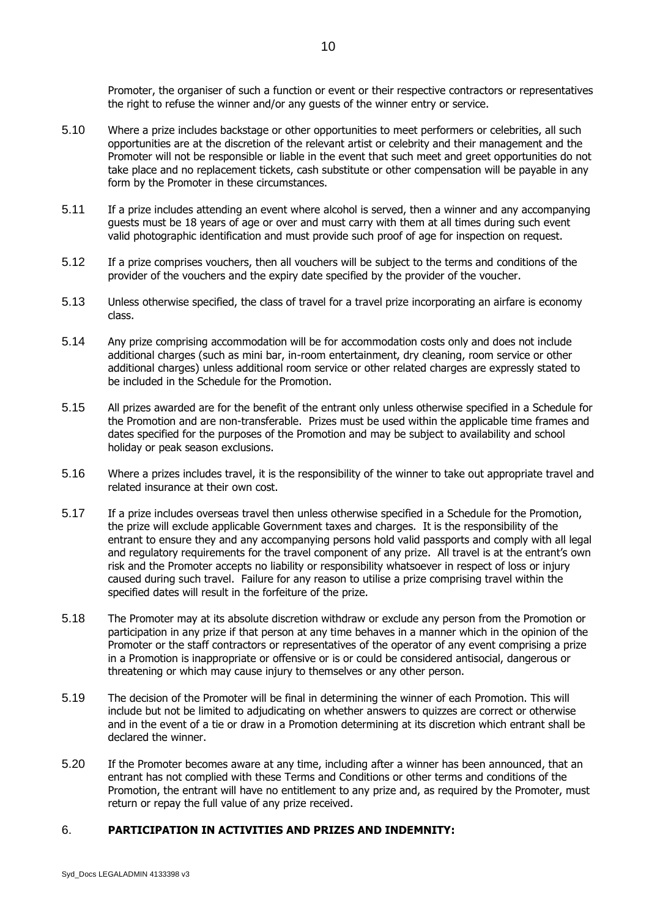Promoter, the organiser of such a function or event or their respective contractors or representatives the right to refuse the winner and/or any guests of the winner entry or service.

- 5.10 Where a prize includes backstage or other opportunities to meet performers or celebrities, all such opportunities are at the discretion of the relevant artist or celebrity and their management and the Promoter will not be responsible or liable in the event that such meet and greet opportunities do not take place and no replacement tickets, cash substitute or other compensation will be payable in any form by the Promoter in these circumstances.
- 5.11 If a prize includes attending an event where alcohol is served, then a winner and any accompanying guests must be 18 years of age or over and must carry with them at all times during such event valid photographic identification and must provide such proof of age for inspection on request.
- 5.12 If a prize comprises vouchers, then all vouchers will be subject to the terms and conditions of the provider of the vouchers and the expiry date specified by the provider of the voucher.
- 5.13 Unless otherwise specified, the class of travel for a travel prize incorporating an airfare is economy class.
- 5.14 Any prize comprising accommodation will be for accommodation costs only and does not include additional charges (such as mini bar, in-room entertainment, dry cleaning, room service or other additional charges) unless additional room service or other related charges are expressly stated to be included in the Schedule for the Promotion.
- 5.15 All prizes awarded are for the benefit of the entrant only unless otherwise specified in a Schedule for the Promotion and are non-transferable. Prizes must be used within the applicable time frames and dates specified for the purposes of the Promotion and may be subject to availability and school holiday or peak season exclusions.
- 5.16 Where a prizes includes travel, it is the responsibility of the winner to take out appropriate travel and related insurance at their own cost.
- 5.17 If a prize includes overseas travel then unless otherwise specified in a Schedule for the Promotion, the prize will exclude applicable Government taxes and charges. It is the responsibility of the entrant to ensure they and any accompanying persons hold valid passports and comply with all legal and regulatory requirements for the travel component of any prize. All travel is at the entrant's own risk and the Promoter accepts no liability or responsibility whatsoever in respect of loss or injury caused during such travel. Failure for any reason to utilise a prize comprising travel within the specified dates will result in the forfeiture of the prize.
- 5.18 The Promoter may at its absolute discretion withdraw or exclude any person from the Promotion or participation in any prize if that person at any time behaves in a manner which in the opinion of the Promoter or the staff contractors or representatives of the operator of any event comprising a prize in a Promotion is inappropriate or offensive or is or could be considered antisocial, dangerous or threatening or which may cause injury to themselves or any other person.
- 5.19 The decision of the Promoter will be final in determining the winner of each Promotion. This will include but not be limited to adjudicating on whether answers to quizzes are correct or otherwise and in the event of a tie or draw in a Promotion determining at its discretion which entrant shall be declared the winner.
- 5.20 If the Promoter becomes aware at any time, including after a winner has been announced, that an entrant has not complied with these Terms and Conditions or other terms and conditions of the Promotion, the entrant will have no entitlement to any prize and, as required by the Promoter, must return or repay the full value of any prize received.

## 6. **PARTICIPATION IN ACTIVITIES AND PRIZES AND INDEMNITY:**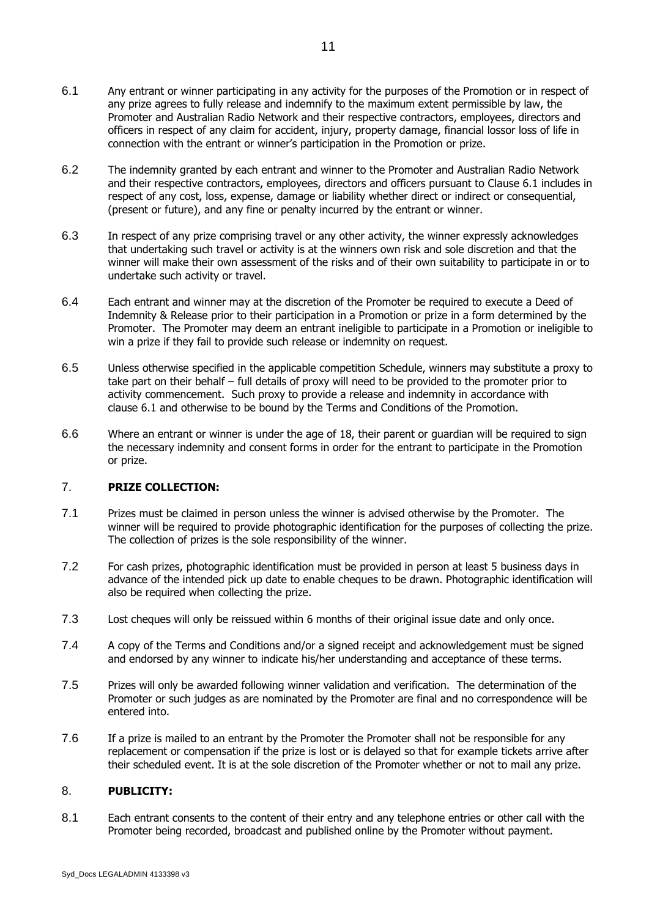- 6.1 Any entrant or winner participating in any activity for the purposes of the Promotion or in respect of any prize agrees to fully release and indemnify to the maximum extent permissible by law, the Promoter and Australian Radio Network and their respective contractors, employees, directors and officers in respect of any claim for accident, injury, property damage, financial lossor loss of life in connection with the entrant or winner's participation in the Promotion or prize.
- 6.2 The indemnity granted by each entrant and winner to the Promoter and Australian Radio Network and their respective contractors, employees, directors and officers pursuant to Clause 6.1 includes in respect of any cost, loss, expense, damage or liability whether direct or indirect or consequential, (present or future), and any fine or penalty incurred by the entrant or winner.
- 6.3 In respect of any prize comprising travel or any other activity, the winner expressly acknowledges that undertaking such travel or activity is at the winners own risk and sole discretion and that the winner will make their own assessment of the risks and of their own suitability to participate in or to undertake such activity or travel.
- 6.4 Each entrant and winner may at the discretion of the Promoter be required to execute a Deed of Indemnity & Release prior to their participation in a Promotion or prize in a form determined by the Promoter. The Promoter may deem an entrant ineligible to participate in a Promotion or ineligible to win a prize if they fail to provide such release or indemnity on request.
- 6.5 Unless otherwise specified in the applicable competition Schedule, winners may substitute a proxy to take part on their behalf – full details of proxy will need to be provided to the promoter prior to activity commencement. Such proxy to provide a release and indemnity in accordance with clause 6.1 and otherwise to be bound by the Terms and Conditions of the Promotion.
- 6.6 Where an entrant or winner is under the age of 18, their parent or guardian will be required to sign the necessary indemnity and consent forms in order for the entrant to participate in the Promotion or prize.

#### 7. **PRIZE COLLECTION:**

- 7.1 Prizes must be claimed in person unless the winner is advised otherwise by the Promoter. The winner will be required to provide photographic identification for the purposes of collecting the prize. The collection of prizes is the sole responsibility of the winner.
- 7.2 For cash prizes, photographic identification must be provided in person at least 5 business days in advance of the intended pick up date to enable cheques to be drawn. Photographic identification will also be required when collecting the prize.
- 7.3 Lost cheques will only be reissued within 6 months of their original issue date and only once.
- 7.4 A copy of the Terms and Conditions and/or a signed receipt and acknowledgement must be signed and endorsed by any winner to indicate his/her understanding and acceptance of these terms.
- 7.5 Prizes will only be awarded following winner validation and verification. The determination of the Promoter or such judges as are nominated by the Promoter are final and no correspondence will be entered into.
- 7.6 If a prize is mailed to an entrant by the Promoter the Promoter shall not be responsible for any replacement or compensation if the prize is lost or is delayed so that for example tickets arrive after their scheduled event. It is at the sole discretion of the Promoter whether or not to mail any prize.

#### 8. **PUBLICITY:**

8.1 Each entrant consents to the content of their entry and any telephone entries or other call with the Promoter being recorded, broadcast and published online by the Promoter without payment.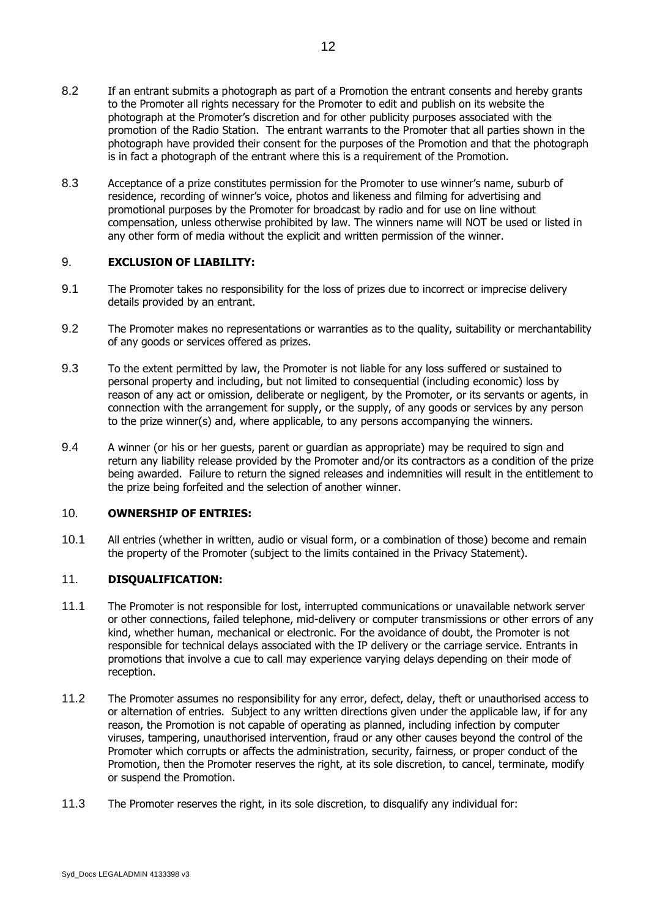- 8.2 If an entrant submits a photograph as part of a Promotion the entrant consents and hereby grants to the Promoter all rights necessary for the Promoter to edit and publish on its website the photograph at the Promoter's discretion and for other publicity purposes associated with the promotion of the Radio Station. The entrant warrants to the Promoter that all parties shown in the photograph have provided their consent for the purposes of the Promotion and that the photograph is in fact a photograph of the entrant where this is a requirement of the Promotion.
- 8.3 Acceptance of a prize constitutes permission for the Promoter to use winner's name, suburb of residence, recording of winner's voice, photos and likeness and filming for advertising and promotional purposes by the Promoter for broadcast by radio and for use on line without compensation, unless otherwise prohibited by law. The winners name will NOT be used or listed in any other form of media without the explicit and written permission of the winner.

## 9. **EXCLUSION OF LIABILITY:**

- 9.1 The Promoter takes no responsibility for the loss of prizes due to incorrect or imprecise delivery details provided by an entrant.
- 9.2 The Promoter makes no representations or warranties as to the quality, suitability or merchantability of any goods or services offered as prizes.
- 9.3 To the extent permitted by law, the Promoter is not liable for any loss suffered or sustained to personal property and including, but not limited to consequential (including economic) loss by reason of any act or omission, deliberate or negligent, by the Promoter, or its servants or agents, in connection with the arrangement for supply, or the supply, of any goods or services by any person to the prize winner(s) and, where applicable, to any persons accompanying the winners.
- 9.4 A winner (or his or her guests, parent or guardian as appropriate) may be required to sign and return any liability release provided by the Promoter and/or its contractors as a condition of the prize being awarded. Failure to return the signed releases and indemnities will result in the entitlement to the prize being forfeited and the selection of another winner.

#### 10. **OWNERSHIP OF ENTRIES:**

10.1 All entries (whether in written, audio or visual form, or a combination of those) become and remain the property of the Promoter (subject to the limits contained in the Privacy Statement).

## 11. **DISQUALIFICATION:**

- 11.1 The Promoter is not responsible for lost, interrupted communications or unavailable network server or other connections, failed telephone, mid-delivery or computer transmissions or other errors of any kind, whether human, mechanical or electronic. For the avoidance of doubt, the Promoter is not responsible for technical delays associated with the IP delivery or the carriage service. Entrants in promotions that involve a cue to call may experience varying delays depending on their mode of reception.
- 11.2 The Promoter assumes no responsibility for any error, defect, delay, theft or unauthorised access to or alternation of entries. Subject to any written directions given under the applicable law, if for any reason, the Promotion is not capable of operating as planned, including infection by computer viruses, tampering, unauthorised intervention, fraud or any other causes beyond the control of the Promoter which corrupts or affects the administration, security, fairness, or proper conduct of the Promotion, then the Promoter reserves the right, at its sole discretion, to cancel, terminate, modify or suspend the Promotion.
- 11.3 The Promoter reserves the right, in its sole discretion, to disqualify any individual for: